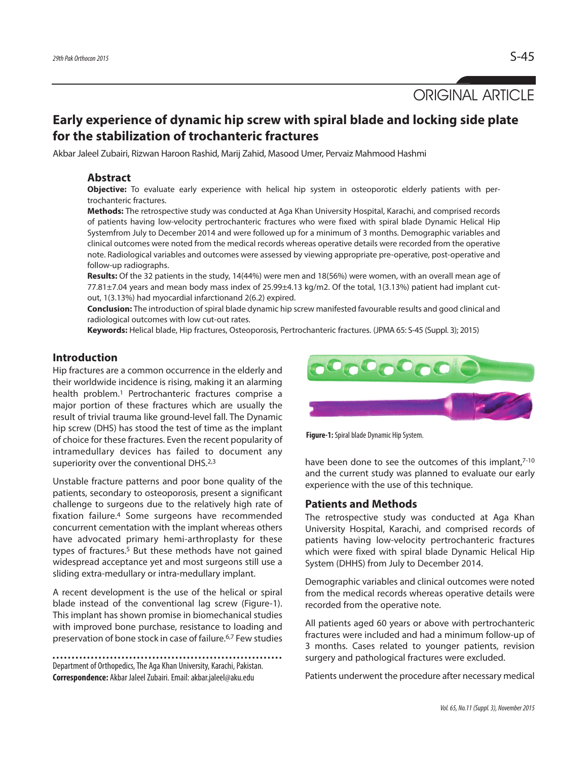ORIGINAL ARTICLE

# **Early experience of dynamic hip screw with spiral blade and locking side plate for the stabilization of trochanteric fractures**

Akbar Jaleel Zubairi, Rizwan Haroon Rashid, Marij Zahid, Masood Umer, Pervaiz Mahmood Hashmi

# **Abstract**

**Objective:** To evaluate early experience with helical hip system in osteoporotic elderly patients with pertrochanteric fractures.

**Methods:** The retrospective study was conducted at Aga Khan University Hospital, Karachi, and comprised records of patients having low-velocity pertrochanteric fractures who were fixed with spiral blade Dynamic Helical Hip Systemfrom July to December 2014 and were followed up for a minimum of 3 months. Demographic variables and clinical outcomes were noted from the medical records whereas operative details were recorded from the operative note. Radiological variables and outcomes were assessed by viewing appropriate pre-operative, post-operative and follow-up radiographs.

**Results:** Of the 32 patients in the study, 14(44%) were men and 18(56%) were women, with an overall mean age of 77.81±7.04 years and mean body mass index of 25.99±4.13 kg/m2. Of the total, 1(3.13%) patient had implant cutout, 1(3.13%) had myocardial infarctionand 2(6.2) expired.

**Conclusion:** The introduction ofspiral blade dynamic hip screw manifested favourable results and good clinical and radiological outcomes with low cut-out rates.

**Keywords:** Helical blade, Hip fractures, Osteoporosis, Pertrochanteric fractures. (JPMA 65: S-45 (Suppl. 3); 2015)

# **Introduction**

Hip fractures are a common occurrence in the elderly and their worldwide incidence is rising, making it an alarming health problem. <sup>1</sup> Pertrochanteric fractures comprise a major portion of these fractures which are usually the result of trivial trauma like ground-level fall. The Dynamic hip screw (DHS) has stood the test of time as the implant of choice for these fractures. Even the recent popularity of intramedullary devices has failed to document any superiority over the conventional DHS.<sup>2,3</sup>

Unstable fracture patterns and poor bone quality of the patients, secondary to osteoporosis, present a significant challenge to surgeons due to the relatively high rate of fixation failure. <sup>4</sup> Some surgeons have recommended concurrent cementation with the implant whereas others have advocated primary hemi-arthroplasty for these types of fractures. <sup>5</sup> But these methods have not gained widespread acceptance yet and most surgeons still use a sliding extra-medullary or intra-medullary implant.

A recent development is the use of the helical or spiral blade instead of the conventional lag screw (Figure-1). This implant has shown promise in biomechanical studies with improved bone purchase, resistance to loading and preservation of bone stock in case of failure. 6,7 Few studies

```
Department of Orthopedics, The Aga Khan University, Karachi, Pakistan.
Correspondence: Akbar JaleelZubairi.Email:akbar.jaleel@aku.edu
```


**Figure-1:** Spiral blade Dynamic Hip System.

have been done to see the outcomes of this implant,7-10 and the current study was planned to evaluate our early experience with the use of this technique.

### **Patients and Methods**

The retrospective study was conducted at Aga Khan University Hospital, Karachi, and comprised records of patients having low-velocity pertrochanteric fractures which were fixed with spiral blade Dynamic Helical Hip System (DHHS) from July to December 2014.

Demographic variables and clinical outcomes were noted from the medical records whereas operative details were recorded from the operative note.

All patients aged 60 years or above with pertrochanteric fractures were included and had a minimum follow-up of 3 months. Cases related to younger patients, revision surgery and pathological fractures were excluded.

Patients underwent the procedure after necessary medical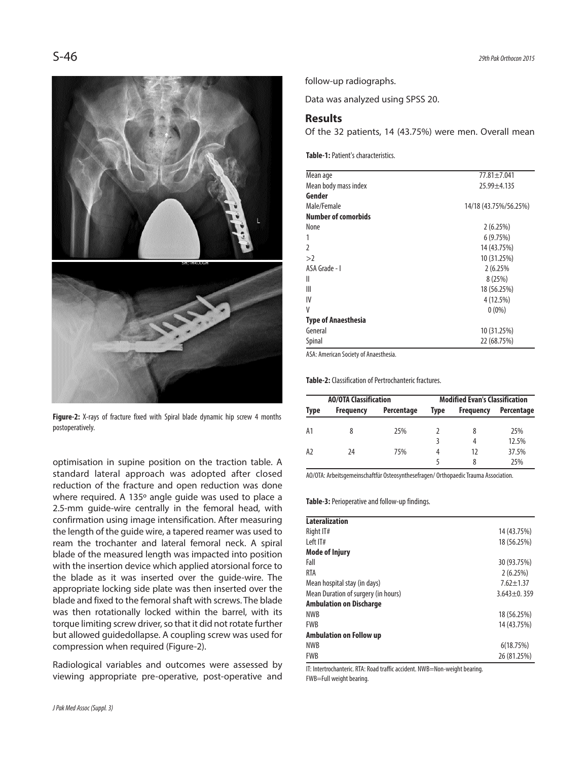

**Figure-2:** X-rays of fracture fixed with Spiral blade dynamic hip screw 4 months postoperatively.

optimisation in supine position on the traction table. A standard lateral approach was adopted after closed reduction of the fracture and open reduction was done where required. A 135º angle guide was used to place a 2.5-mm guide-wire centrally in the femoral head, with confirmation using image intensification. After measuring the length of the guide wire, a tapered reamer was used to ream the trochanter and lateral femoral neck. A spiral blade of the measured length was impacted into position with the insertion device which applied atorsional force to the blade as it was inserted over the guide-wire. The appropriate locking side plate was then inserted over the blade and fixed to the femoral shaft with screws. The blade was then rotationally locked within the barrel, with its torque limiting screw driver, so that it did not rotate further but allowed guidedollapse. A coupling screw was used for compression when required (Figure-2).

Radiological variables and outcomes were assessed by viewing appropriate pre-operative, post-operative and

*JPak Med Assoc (Suppl.3)*

follow-up radiographs.

Data was analyzed using SPSS 20.

### **Results**

Of the 32 patients, 14 (43.75%) were men. Overall mean

**Table-1:**Patient's characteristics.

| Mean age                   | 77.81±7.041           |
|----------------------------|-----------------------|
| Mean body mass index       | $25.99 + 4.135$       |
| Gender                     |                       |
| Male/Female                | 14/18 (43.75%/56.25%) |
| <b>Number of comorbids</b> |                       |
| None                       | 2(6.25%)              |
| 1                          | 6(9.75%)              |
| $\mathfrak z$              | 14 (43.75%)           |
| >2                         | 10 (31.25%)           |
| ASA Grade - I              | 2 (6.25%)             |
| Ш                          | 8(25%)                |
| Ш                          | 18 (56.25%)           |
| IV                         | 4(12.5%)              |
| V                          | $0(0\%)$              |
| <b>Type of Anaesthesia</b> |                       |
| General                    | 10 (31.25%)           |
| Spinal                     | 22 (68.75%)           |

ASA: American Society of Anaesthesia.

**Table-2:** Classification of Pertrochanteric fractures.

| <b>AO/OTA Classification</b> |                  |            | <b>Modified Evan's Classification</b> |                  |            |
|------------------------------|------------------|------------|---------------------------------------|------------------|------------|
| Type                         | <b>Frequency</b> | Percentage | <b>Type</b>                           | <b>Frequency</b> | Percentage |
| А1                           | 8                | 25%        |                                       |                  | 25%        |
|                              |                  |            |                                       | 4                | 12.5%      |
| A <sub>2</sub>               | 24               | 75%        | 4                                     | 17               | 37.5%      |
|                              |                  |            | 25%                                   |                  |            |

AO/OTA: Arbeitsgemeinschaftfür Osteosynthesefragen/ Orthopaedic Trauma Association.

**Table-3:** Perioperative and follow-up findings.

| <b>Lateralization</b>               |                   |
|-------------------------------------|-------------------|
| Right IT#                           | 14 (43.75%)       |
| Left IT#                            | 18 (56.25%)       |
| <b>Mode of Injury</b>               |                   |
| Fall                                | 30 (93.75%)       |
| <b>RTA</b>                          | 2(6.25%)          |
| Mean hospital stay (in days)        | $7.62 + 1.37$     |
| Mean Duration of surgery (in hours) | $3.643 \pm 0.359$ |
| <b>Ambulation on Discharge</b>      |                   |
| <b>NWB</b>                          | 18 (56.25%)       |
| <b>FWB</b>                          | 14 (43.75%)       |
| <b>Ambulation on Follow up</b>      |                   |
| <b>NWB</b>                          | 6(18.75%)         |
| <b>FWB</b>                          | 26 (81.25%)       |

IT: Intertrochanteric. RTA: Road traffic accident. NWB=Non-weight bearing. FWB=Full weight bearing.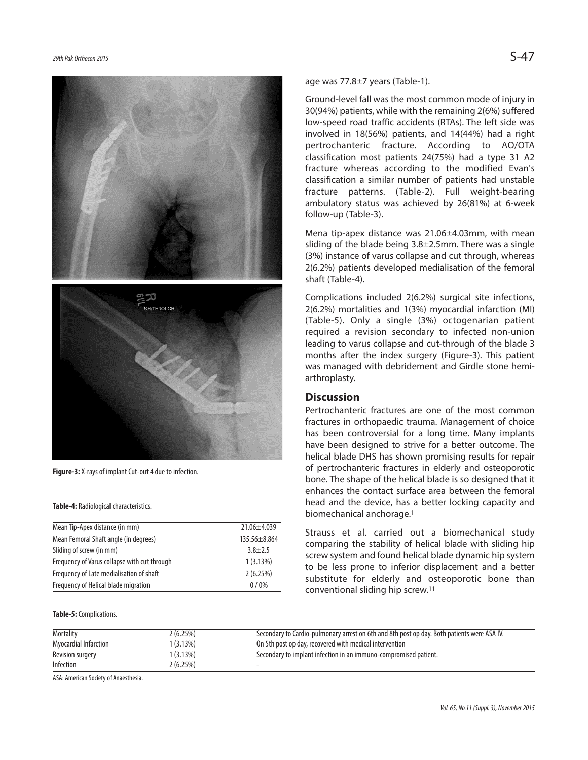



**Figure-3:** X-rays of implant Cut-out 4 due to infection.

#### **Table-4:** Radiological characteristics.

| Mean Tip-Apex distance (in mm)               | 21.06±4.039  |
|----------------------------------------------|--------------|
| Mean Femoral Shaft angle (in degrees)        | 135.56±8.864 |
| Sliding of screw (in mm)                     | $3.8 + 2.5$  |
| Frequency of Varus collapse with cut through | 1(3.13%)     |
| Frequency of Late medialisation of shaft     | 2(6.25%)     |
| Frequency of Helical blade migration         | $0/0\%$      |

#### **Table-5:**Complications.

age was 77.8±7 years (Table-1).

Ground-level fall was the most common mode of injury in  $30(94%)$  patients, while with the remaining  $2(6%)$  suffered low-speed road traffic accidents (RTAs). The left side was involved in 18(56%) patients, and 14(44%) had a right pertrochanteric fracture. According to AO/OTA classification most patients 24(75%) had a type 31 A2 fracture whereas according to the modified Evan's classification a similar number of patients had unstable fracture patterns. (Table-2). Full weight-bearing ambulatory status was achieved by 26(81%) at 6-week follow-up (Table-3).

Mena tip-apex distance was 21.06±4.03mm, with mean sliding of the blade being 3.8±2.5mm. There was a single (3%) instance of varus collapse and cut through, whereas 2(6.2%) patients developed medialisation of the femoral shaft (Table-4).

Complications included 2(6.2%) surgical site infections, 2(6.2%) mortalities and 1(3%) myocardial infarction (MI) (Table-5). Only a single (3%) octogenarian patient required a revision secondary to infected non-union leading to varus collapse and cut-through of the blade 3 months after the index surgery (Figure-3). This patient was managed with debridement and Girdle stone hemiarthroplasty.

# **Discussion**

Pertrochanteric fractures are one of the most common fractures in orthopaedic trauma. Management of choice has been controversial for a long time. Many implants have been designed to strive for a better outcome. The helical blade DHS has shown promising results for repair of pertrochanteric fractures in elderly and osteoporotic bone. The shape of the helical blade is so designed that it enhances the contact surface area between the femoral head and the device, has a better locking capacity and biomechanical anchorage. 1

Strauss et al. carried out a biomechanical study comparing the stability of helical blade with sliding hip screw system and found helical blade dynamic hip system to be less prone to inferior displacement and a better substitute for elderly and osteoporotic bone than conventional sliding hip screw. 11

| Mortality             | 2 (6.25%)  | Secondary to Cardio-pulmonary arrest on 6th and 8th post op day. Both patients were ASA IV. |
|-----------------------|------------|---------------------------------------------------------------------------------------------|
| Myocardial Infarction | $(3.13\%)$ | On 5th post op day, recovered with medical intervention                                     |
| Revision surgery      | (3.13%)    | Secondary to implant infection in an immuno-compromised patient.                            |
| Infection             | 2(6.25%)   |                                                                                             |

ASA: American Society of Anaesthesia.